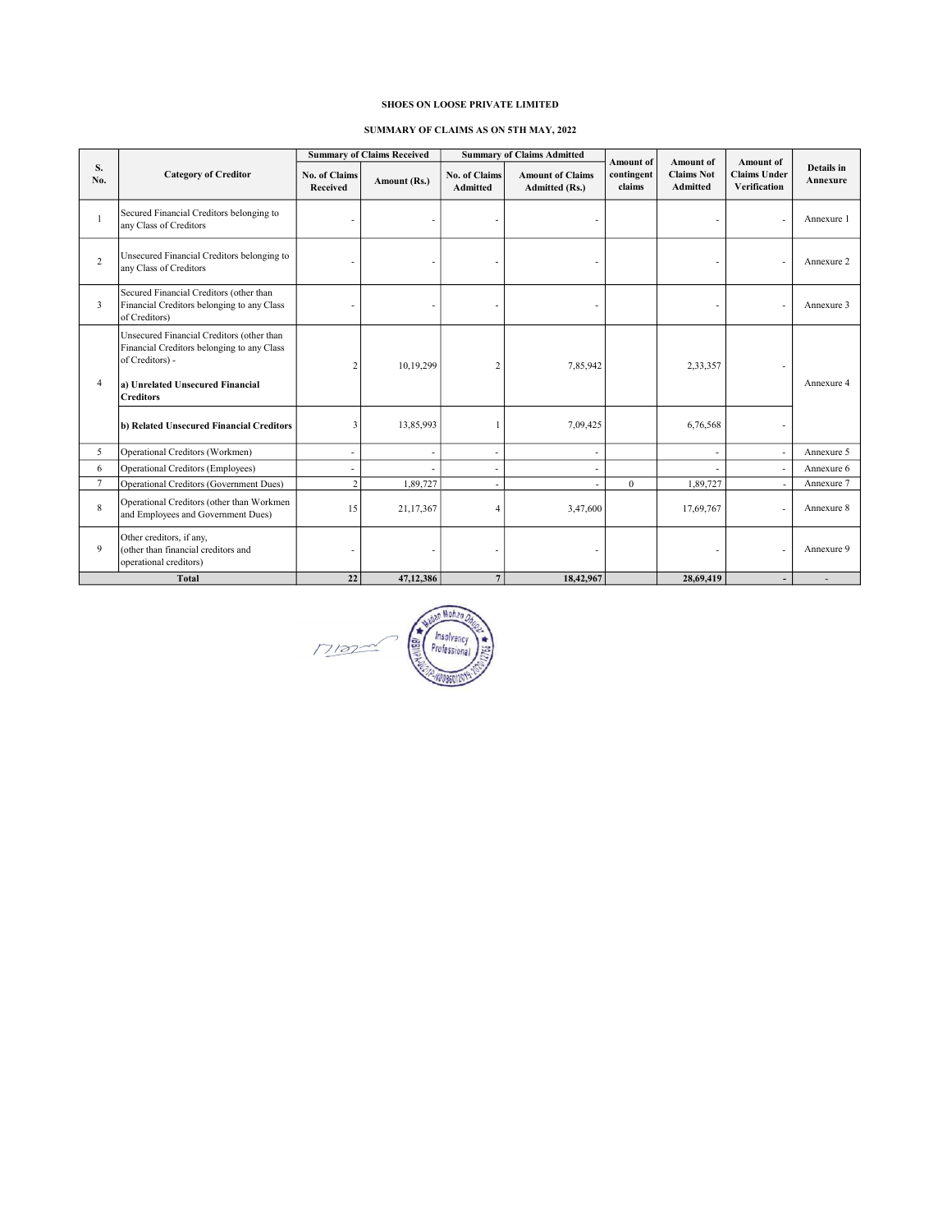# SHOES ON LOOSE PRIVATE LIMITED

## SUMMARY OF CLAIMS AS ON 5TH MAY, 2022

|                |                                                                                                                                                                    |                                  | <b>Summary of Claims Received</b> |                                         | <b>Summary of Claims Admitted</b>                | Amount of            | <b>Amount</b> of              | Amount of                           | Details in<br>Annexure |  |
|----------------|--------------------------------------------------------------------------------------------------------------------------------------------------------------------|----------------------------------|-----------------------------------|-----------------------------------------|--------------------------------------------------|----------------------|-------------------------------|-------------------------------------|------------------------|--|
| S.<br>No.      | <b>Category of Creditor</b>                                                                                                                                        | <b>No. of Claims</b><br>Received | Amount (Rs.)                      | <b>No. of Claims</b><br><b>Admitted</b> | <b>Amount of Claims</b><br><b>Admitted (Rs.)</b> | contingent<br>claims | <b>Claims Not</b><br>Admitted | <b>Claims Under</b><br>Verification |                        |  |
|                | Secured Financial Creditors belonging to<br>any Class of Creditors                                                                                                 |                                  |                                   |                                         | ٠                                                |                      |                               | $\overline{\phantom{a}}$            | Annexure 1             |  |
| $\overline{c}$ | Unsecured Financial Creditors belonging to<br>any Class of Creditors                                                                                               |                                  |                                   |                                         | ٠                                                |                      |                               | ٠                                   | Annexure 2             |  |
| 3              | Secured Financial Creditors (other than<br>Financial Creditors belonging to any Class<br>of Creditors)                                                             |                                  | $\overline{\phantom{a}}$          |                                         | $\overline{\phantom{a}}$                         |                      |                               | $\overline{a}$                      | Annexure 3             |  |
| $\overline{4}$ | Unsecured Financial Creditors (other than<br>Financial Creditors belonging to any Class<br>of Creditors) -<br>a) Unrelated Unsecured Financial<br><b>Creditors</b> | 2                                | 10,19,299                         | $\overline{2}$                          | 7,85,942                                         |                      | 2,33,357                      | $\overline{\phantom{a}}$            | Annexure 4             |  |
|                | b) Related Unsecured Financial Creditors                                                                                                                           | 3                                | 13,85,993                         |                                         | 7,09,425                                         |                      | 6,76,568                      | ٠                                   |                        |  |
| 5              | Operational Creditors (Workmen)                                                                                                                                    | ٠                                | ٠                                 | ٠                                       | ٠                                                |                      | ٠                             | $\sim$                              | Annexure 5             |  |
| 6              | <b>Operational Creditors (Employees)</b>                                                                                                                           | $\overline{\phantom{a}}$         |                                   | $\overline{\phantom{m}}$                | $\overline{\phantom{a}}$                         |                      |                               | $\sim$                              | Annexure 6             |  |
| $\overline{7}$ | <b>Operational Creditors (Government Dues)</b>                                                                                                                     | $\overline{c}$                   | 1,89,727                          |                                         |                                                  | $\mathbf{0}$         | 1,89,727                      | $\sim$                              | Annexure 7             |  |
| 8              | Operational Creditors (other than Workmen<br>and Employees and Government Dues)                                                                                    | 15                               | 21,17,367                         | $\overline{4}$                          | 3,47,600                                         |                      | 17,69,767                     | $\overline{a}$                      | Annexure 8             |  |
| 9              | Other creditors, if any,<br>(other than financial creditors and<br>operational creditors)                                                                          |                                  |                                   |                                         |                                                  |                      |                               | L,                                  | Annexure 9             |  |
| <b>Total</b>   |                                                                                                                                                                    | 22                               | 47.12.386                         | $\overline{7}$                          | 18.42.967                                        |                      | 28,69,419                     | $\overline{\phantom{a}}$            |                        |  |

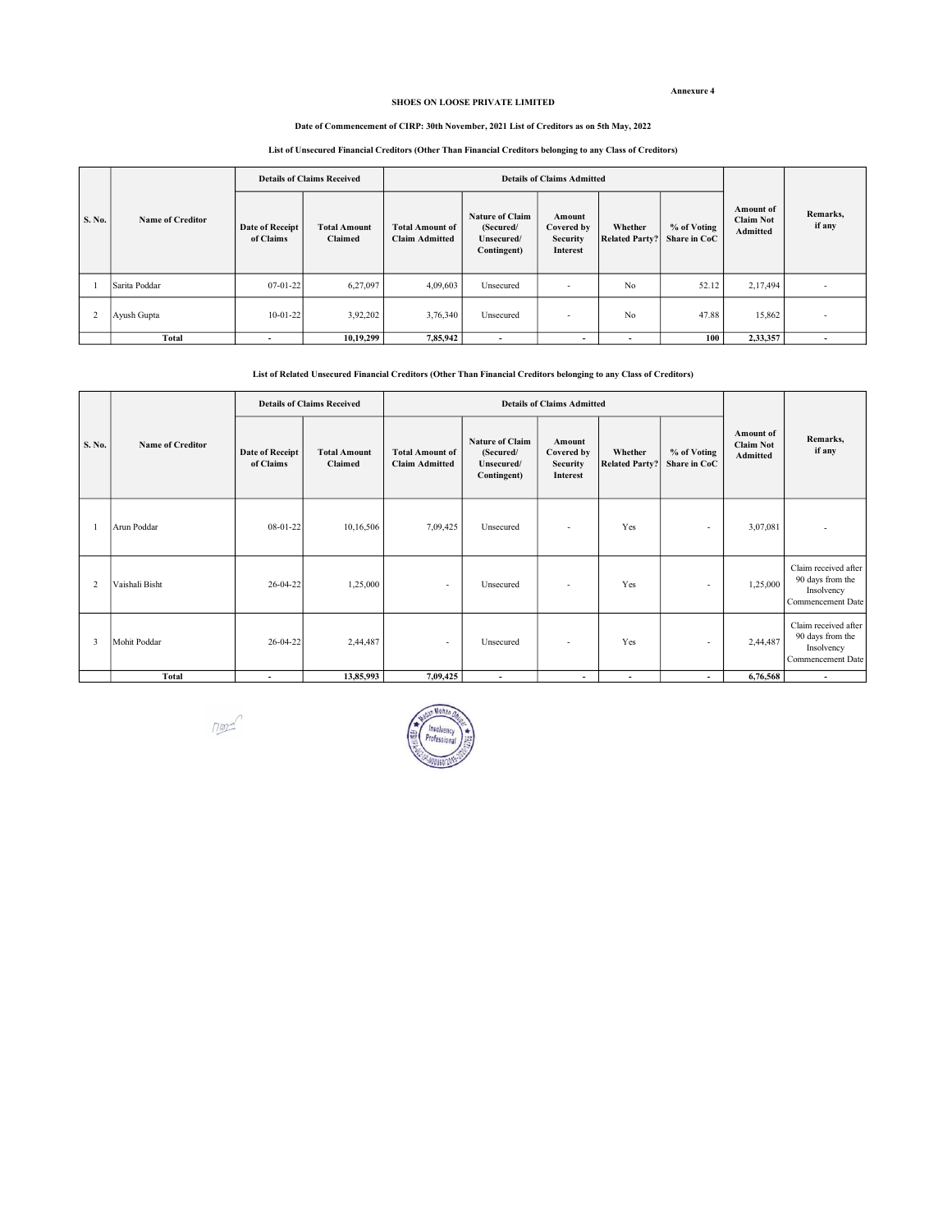#### Annexure 4

#### SHOES ON LOOSE PRIVATE LIMITED

#### Date of Commencement of CIRP: 30th November, 2021 List of Creditors as on 5th May, 2022

## List of Unsecured Financial Creditors (Other Than Financial Creditors belonging to any Class of Creditors)

| S. No. |                         | <b>Details of Claims Received</b>   |                                |                                                 | <b>Details of Claims Admitted</b>                                |                                                            |                                  |                             |                                                  |                          |
|--------|-------------------------|-------------------------------------|--------------------------------|-------------------------------------------------|------------------------------------------------------------------|------------------------------------------------------------|----------------------------------|-----------------------------|--------------------------------------------------|--------------------------|
|        | <b>Name of Creditor</b> | <b>Date of Receipt</b><br>of Claims | <b>Total Amount</b><br>Claimed | <b>Total Amount of</b><br><b>Claim Admitted</b> | <b>Nature of Claim</b><br>(Secured/<br>Unsecured/<br>Contingent) | Amount<br>Covered by<br><b>Security</b><br><b>Interest</b> | Whether<br><b>Related Party?</b> | % of Voting<br>Share in CoC | <b>Amount of</b><br><b>Claim Not</b><br>Admitted | Remarks,<br>if any       |
|        | Sarita Poddar           | $07 - 01 - 22$                      | 6,27,097                       | 4,09,603                                        | Unsecured                                                        | $\overline{\phantom{a}}$                                   | No                               | 52.12                       | 2,17,494                                         | $\overline{\phantom{a}}$ |
|        | Ayush Gupta             | $10-01-22$                          | 3,92,202                       | 3,76,340                                        | Unsecured                                                        | $\overline{\phantom{a}}$                                   | No                               | 47.88                       | 15,862                                           | $\overline{\phantom{a}}$ |
|        | <b>Total</b>            | ۰                                   | 10,19,299                      | 7,85,942                                        | ۰                                                                | $\overline{\phantom{a}}$                                   | $\overline{\phantom{a}}$         | 100                         | 2,33,357                                         |                          |

#### List of Related Unsecured Financial Creditors (Other Than Financial Creditors belonging to any Class of Creditors)

|                |                         |                                     | <b>Details of Claims Received</b> |                                                 | <b>Details of Claims Admitted</b>                                |                                                            |                                  |                             |                                                         |                                                                             |
|----------------|-------------------------|-------------------------------------|-----------------------------------|-------------------------------------------------|------------------------------------------------------------------|------------------------------------------------------------|----------------------------------|-----------------------------|---------------------------------------------------------|-----------------------------------------------------------------------------|
| S. No.         | <b>Name of Creditor</b> | <b>Date of Receipt</b><br>of Claims | <b>Total Amount</b><br>Claimed    | <b>Total Amount of</b><br><b>Claim Admitted</b> | <b>Nature of Claim</b><br>(Secured/<br>Unsecured/<br>Contingent) | Amount<br>Covered by<br><b>Security</b><br><b>Interest</b> | Whether<br><b>Related Party?</b> | % of Voting<br>Share in CoC | <b>Amount</b> of<br><b>Claim Not</b><br><b>Admitted</b> | Remarks,<br>if any                                                          |
|                | Arun Poddar             | $08-01-22$                          | 10,16,506                         | 7,09,425                                        | Unsecured                                                        | ٠                                                          | Yes                              | $\overline{\phantom{a}}$    | 3,07,081                                                |                                                                             |
| $\overline{2}$ | Vaishali Bisht          | 26-04-22                            | 1,25,000                          | $\sim$                                          | Unsecured                                                        | $\overline{\phantom{a}}$                                   | Yes                              | $\overline{\phantom{a}}$    | 1,25,000                                                | Claim received after<br>90 days from the<br>Insolvency<br>Commencement Date |
| 3              | Mohit Poddar            | 26-04-22                            | 2,44,487                          | $\sim$                                          | Unsecured                                                        | $\overline{\phantom{a}}$                                   | Yes                              | $\overline{\phantom{a}}$    | 2,44,487                                                | Claim received after<br>90 days from the<br>Insolvency<br>Commencement Date |
|                | Total                   | $\overline{\phantom{a}}$            | 13,85,993                         | 7,09,425                                        | $\overline{\phantom{a}}$                                         | $\overline{\phantom{a}}$                                   | $\overline{\phantom{a}}$         | $\overline{\phantom{a}}$    | 6,76,568                                                | $\overline{\phantom{a}}$                                                    |

 $M_{\text{max}}$ 

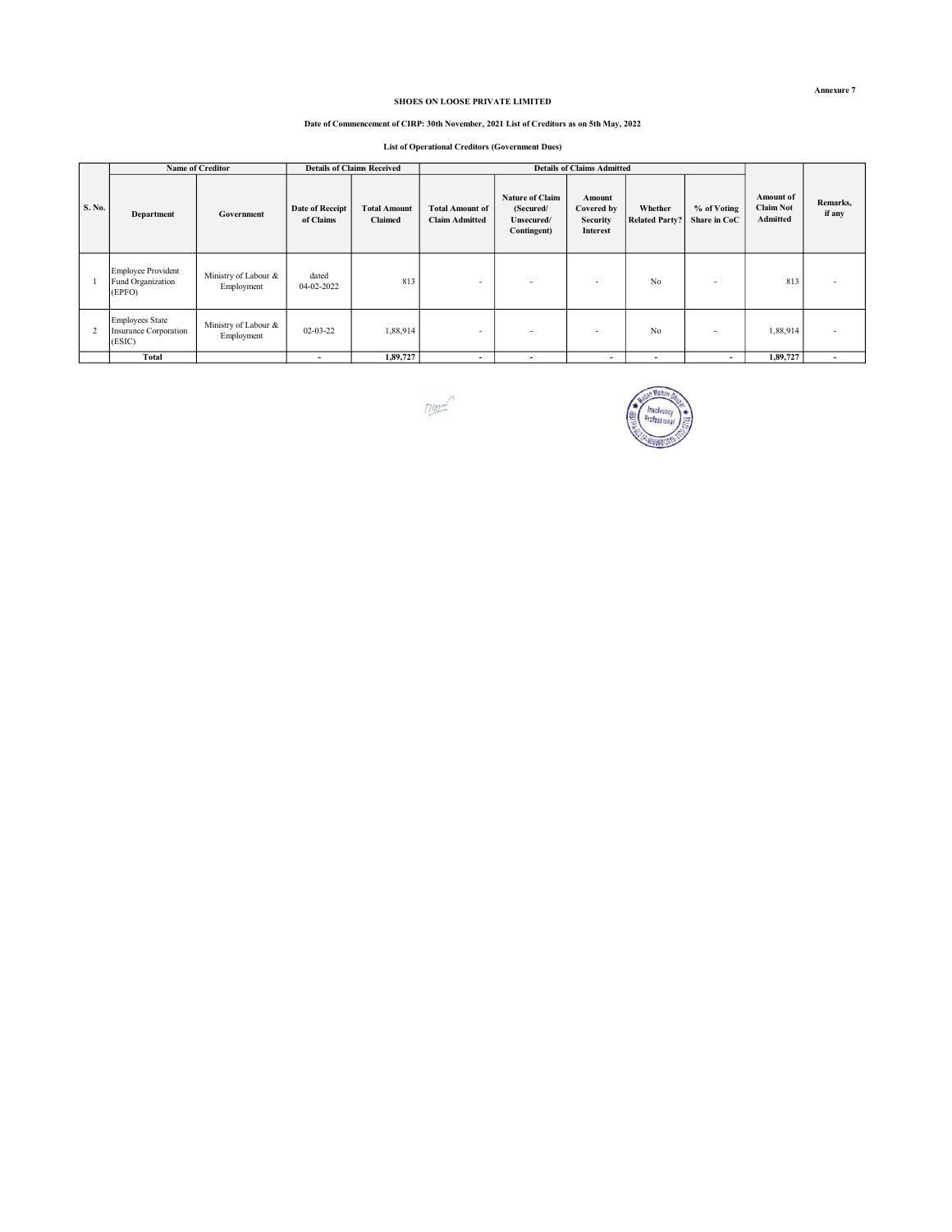## SHOES ON LOOSE PRIVATE LIMITED

#### Date of Commencement of CIRP: 30th November, 2021 List of Creditors as on 5th May, 2022

List of Operational Creditors (Government Dues)

|        |                                                           | <b>Name of Creditor</b>            |                              | <b>Details of Claims Received</b>     |                                                 |                                                                  | <b>Details of Claims Admitted</b>                   |                                  |                             |                                                  |                          |
|--------|-----------------------------------------------------------|------------------------------------|------------------------------|---------------------------------------|-------------------------------------------------|------------------------------------------------------------------|-----------------------------------------------------|----------------------------------|-----------------------------|--------------------------------------------------|--------------------------|
| S. No. | Department                                                | Government                         | Date of Receipt<br>of Claims | <b>Total Amount</b><br><b>Claimed</b> | <b>Total Amount of</b><br><b>Claim Admitted</b> | <b>Nature of Claim</b><br>(Secured/<br>Unsecured/<br>Contingent) | Amount<br>Covered by<br><b>Security</b><br>Interest | Whether<br><b>Related Party?</b> | % of Voting<br>Share in CoC | Amount of<br><b>Claim Not</b><br><b>Admitted</b> | Remarks,<br>if any       |
|        | Employee Provident<br>Fund Organization<br>(EPFO)         | Ministry of Labour &<br>Employment | dated<br>04-02-2022          | 813                                   | $\overline{\phantom{a}}$                        |                                                                  | <b>.</b>                                            | No                               | $\overline{\phantom{a}}$    | 813                                              |                          |
|        | <b>Employees State</b><br>Insurance Corporation<br>(ESIC) | Ministry of Labour &<br>Employment | $02 - 03 - 22$               | 1,88,914                              | $\overline{\phantom{a}}$                        |                                                                  | $\overline{\phantom{a}}$                            | No                               |                             | 1,88,914                                         |                          |
|        | Total                                                     |                                    | $\overline{\phantom{a}}$     | 1,89,727                              | $\overline{\phantom{a}}$                        | -                                                                | $\overline{\phantom{a}}$                            |                                  | $\overline{\phantom{a}}$    | 1,89,727                                         | $\overline{\phantom{a}}$ |





Annexure 7